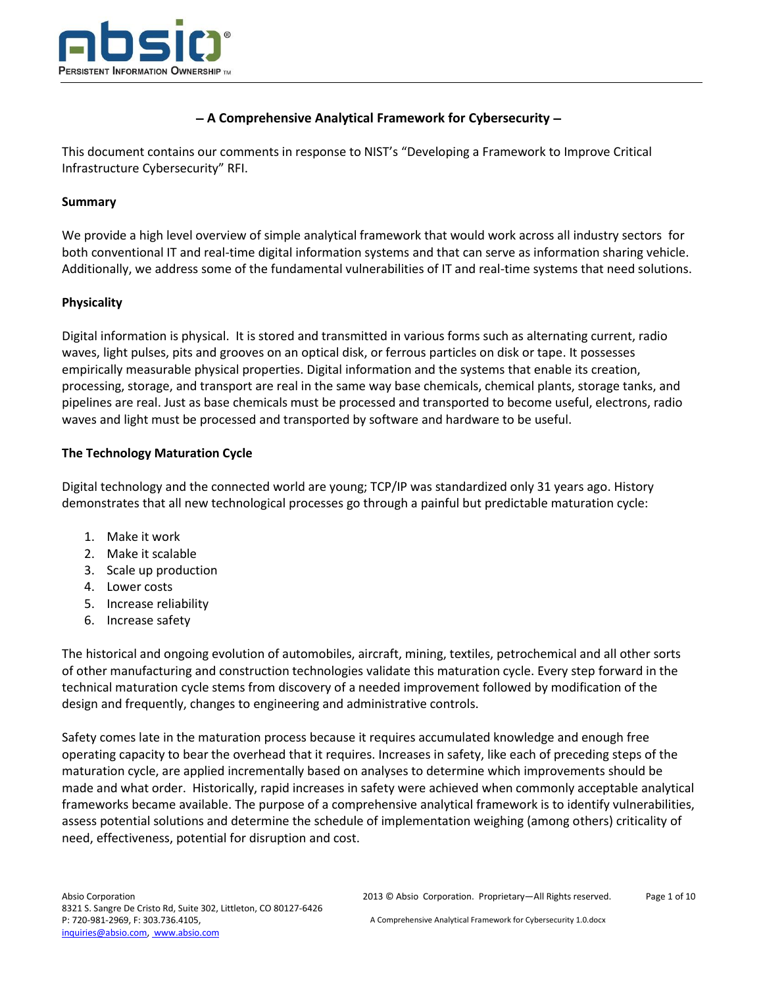

# **A Comprehensive Analytical Framework for Cybersecurity**

This document contains our comments in response to NIST's "Developing a Framework to Improve Critical Infrastructure Cybersecurity" RFI.

### **Summary**

We provide a high level overview of simple analytical framework that would work across all industry sectors for both conventional IT and real-time digital information systems and that can serve as information sharing vehicle. Additionally, we address some of the fundamental vulnerabilities of IT and real-time systems that need solutions.

### **Physicality**

Digital information is physical. It is stored and transmitted in various forms such as alternating current, radio waves, light pulses, pits and grooves on an optical disk, or ferrous particles on disk or tape. It possesses empirically measurable physical properties. Digital information and the systems that enable its creation, processing, storage, and transport are real in the same way base chemicals, chemical plants, storage tanks, and pipelines are real. Just as base chemicals must be processed and transported to become useful, electrons, radio waves and light must be processed and transported by software and hardware to be useful.

### **The Technology Maturation Cycle**

Digital technology and the connected world are young; TCP/IP was standardized only 31 years ago. History demonstrates that all new technological processes go through a painful but predictable maturation cycle:

- 1. Make it work
- 2. Make it scalable
- 3. Scale up production
- 4. Lower costs
- 5. Increase reliability
- 6. Increase safety

The historical and ongoing evolution of automobiles, aircraft, mining, textiles, petrochemical and all other sorts of other manufacturing and construction technologies validate this maturation cycle. Every step forward in the technical maturation cycle stems from discovery of a needed improvement followed by modification of the design and frequently, changes to engineering and administrative controls.

Safety comes late in the maturation process because it requires accumulated knowledge and enough free operating capacity to bear the overhead that it requires. Increases in safety, like each of preceding steps of the maturation cycle, are applied incrementally based on analyses to determine which improvements should be made and what order. Historically, rapid increases in safety were achieved when commonly acceptable analytical frameworks became available. The purpose of a comprehensive analytical framework is to identify vulnerabilities, assess potential solutions and determine the schedule of implementation weighing (among others) criticality of need, effectiveness, potential for disruption and cost.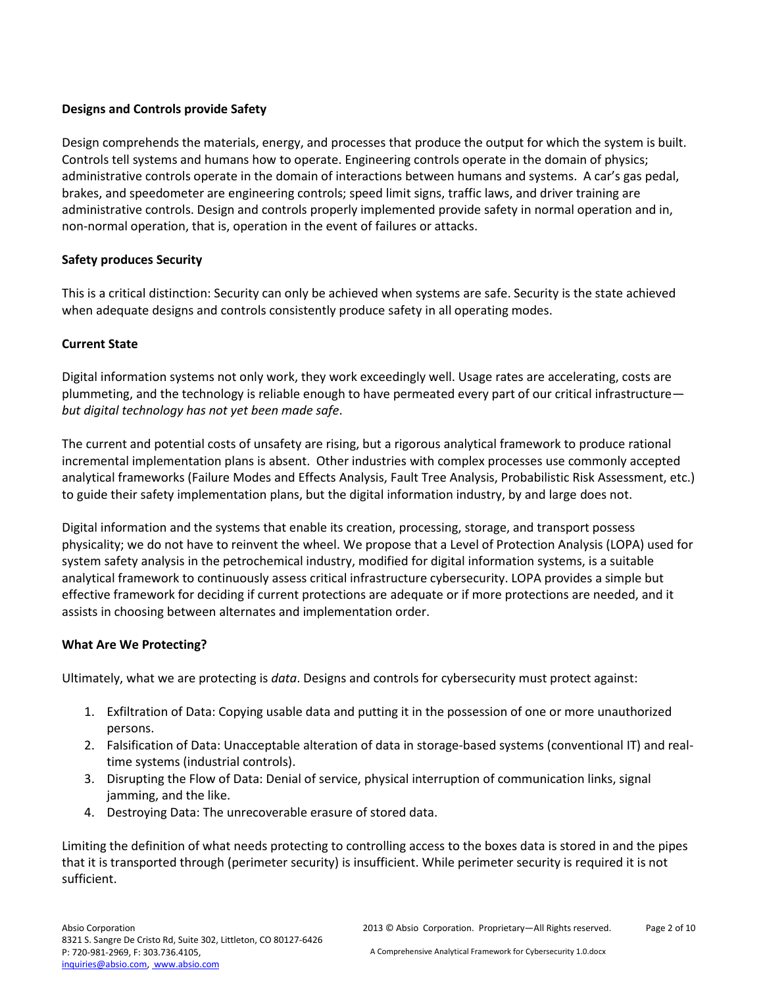# **Designs and Controls provide Safety**

Design comprehends the materials, energy, and processes that produce the output for which the system is built. Controls tell systems and humans how to operate. Engineering controls operate in the domain of physics; administrative controls operate in the domain of interactions between humans and systems. A car's gas pedal, brakes, and speedometer are engineering controls; speed limit signs, traffic laws, and driver training are administrative controls. Design and controls properly implemented provide safety in normal operation and in, non-normal operation, that is, operation in the event of failures or attacks.

# **Safety produces Security**

This is a critical distinction: Security can only be achieved when systems are safe. Security is the state achieved when adequate designs and controls consistently produce safety in all operating modes.

## **Current State**

Digital information systems not only work, they work exceedingly well. Usage rates are accelerating, costs are plummeting, and the technology is reliable enough to have permeated every part of our critical infrastructure *but digital technology has not yet been made safe*.

The current and potential costs of unsafety are rising, but a rigorous analytical framework to produce rational incremental implementation plans is absent. Other industries with complex processes use commonly accepted analytical frameworks (Failure Modes and Effects Analysis, Fault Tree Analysis, Probabilistic Risk Assessment, etc.) to guide their safety implementation plans, but the digital information industry, by and large does not.

Digital information and the systems that enable its creation, processing, storage, and transport possess physicality; we do not have to reinvent the wheel. We propose that a Level of Protection Analysis (LOPA) used for system safety analysis in the petrochemical industry, modified for digital information systems, is a suitable analytical framework to continuously assess critical infrastructure cybersecurity. LOPA provides a simple but effective framework for deciding if current protections are adequate or if more protections are needed, and it assists in choosing between alternates and implementation order.

## **What Are We Protecting?**

Ultimately, what we are protecting is *data*. Designs and controls for cybersecurity must protect against:

- 1. Exfiltration of Data: Copying usable data and putting it in the possession of one or more unauthorized persons.
- 2. Falsification of Data: Unacceptable alteration of data in storage-based systems (conventional IT) and realtime systems (industrial controls).
- 3. Disrupting the Flow of Data: Denial of service, physical interruption of communication links, signal jamming, and the like.
- 4. Destroying Data: The unrecoverable erasure of stored data.

Limiting the definition of what needs protecting to controlling access to the boxes data is stored in and the pipes that it is transported through (perimeter security) is insufficient. While perimeter security is required it is not sufficient.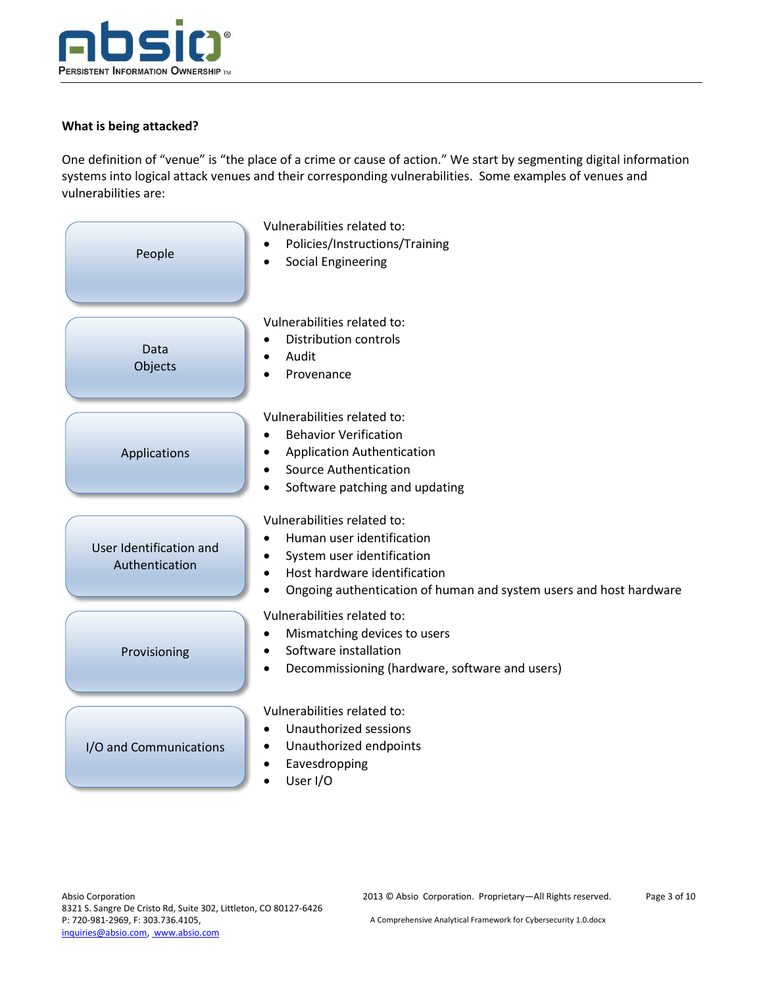

# **What is being attacked?**

One definition of "venue" is "the place of a crime or cause of action." We start by segmenting digital information systems into logical attack venues and their corresponding vulnerabilities. Some examples of venues and vulnerabilities are:

| People                                    | Vulnerabilities related to:<br>Policies/Instructions/Training<br><b>Social Engineering</b><br>٠                                                                                                           |
|-------------------------------------------|-----------------------------------------------------------------------------------------------------------------------------------------------------------------------------------------------------------|
| Data<br>Objects                           | Vulnerabilities related to:<br><b>Distribution controls</b><br>Audit<br>$\bullet$<br>Provenance                                                                                                           |
| Applications                              | Vulnerabilities related to:<br><b>Behavior Verification</b><br><b>Application Authentication</b><br><b>Source Authentication</b><br>Software patching and updating<br>$\bullet$                           |
| User Identification and<br>Authentication | Vulnerabilities related to:<br>Human user identification<br>System user identification<br>Host hardware identification<br>$\bullet$<br>Ongoing authentication of human and system users and host hardware |
| Provisioning                              | Vulnerabilities related to:<br>Mismatching devices to users<br>٠<br>Software installation<br>$\bullet$<br>Decommissioning (hardware, software and users)<br>$\bullet$                                     |
| I/O and Communications                    | Vulnerabilities related to:<br>Unauthorized sessions<br>$\bullet$<br>Unauthorized endpoints<br>$\bullet$<br>Eavesdropping<br>User I/O                                                                     |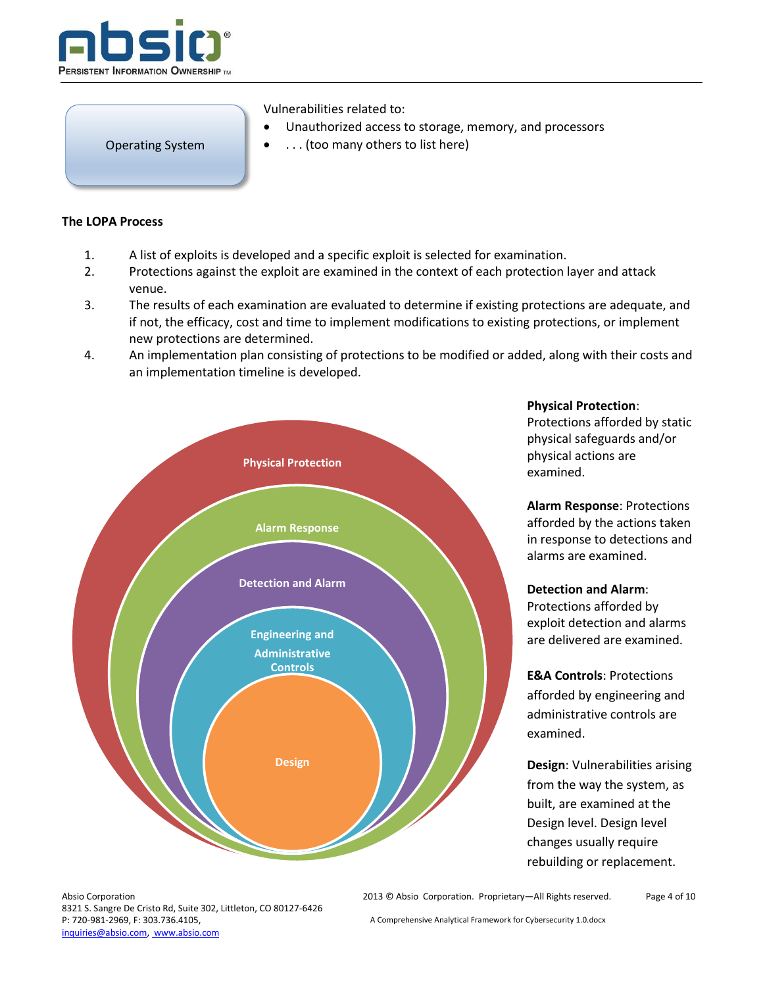

Operating System

Vulnerabilities related to:

- Unauthorized access to storage, memory, and processors
- . . . (too many others to list here)

#### **The LOPA Process**

- 1. A list of exploits is developed and a specific exploit is selected for examination.
- 2. Protections against the exploit are examined in the context of each protection layer and attack venue.
- 3. The results of each examination are evaluated to determine if existing protections are adequate, and if not, the efficacy, cost and time to implement modifications to existing protections, or implement new protections are determined.
- 4. An implementation plan consisting of protections to be modified or added, along with their costs and an implementation timeline is developed.



**Physical Protection**:

Protections afforded by static physical safeguards and/or physical actions are examined.

**Alarm Response**: Protections afforded by the actions taken in response to detections and alarms are examined.

## **Detection and Alarm**:

Protections afforded by exploit detection and alarms are delivered are examined.

**E&A Controls**: Protections afforded by engineering and administrative controls are examined.

**Design**: Vulnerabilities arising from the way the system, as built, are examined at the Design level. Design level changes usually require rebuilding or replacement.

Absio Corporation 8321 S. Sangre De Cristo Rd, Suite 302, Littleton, CO 80127-6426 P: 720-981-2969, F: 303.736.4105, inquiries@absio.com, www.absio.com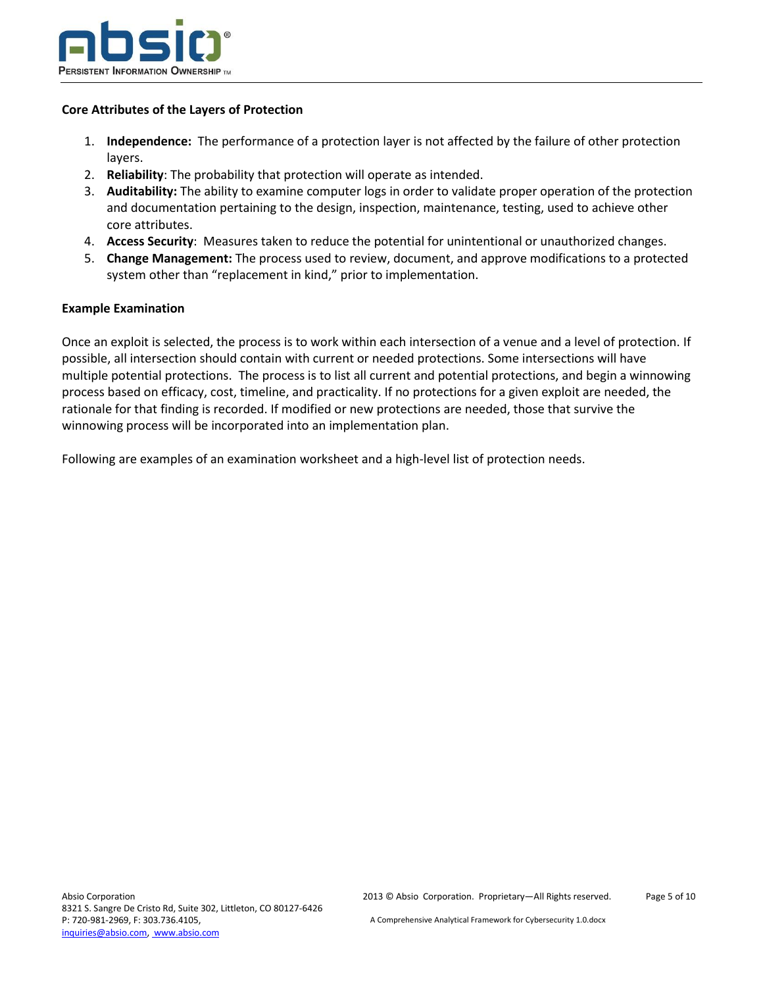

### **Core Attributes of the Layers of Protection**

- 1. **Independence:** The performance of a protection layer is not affected by the failure of other protection layers.
- 2. **Reliability**: The probability that protection will operate as intended.
- 3. **Auditability:** The ability to examine computer logs in order to validate proper operation of the protection and documentation pertaining to the design, inspection, maintenance, testing, used to achieve other core attributes.
- 4. **Access Security**: Measures taken to reduce the potential for unintentional or unauthorized changes.
- 5. **Change Management:** The process used to review, document, and approve modifications to a protected system other than "replacement in kind," prior to implementation.

### **Example Examination**

Once an exploit is selected, the process is to work within each intersection of a venue and a level of protection. If possible, all intersection should contain with current or needed protections. Some intersections will have multiple potential protections. The process is to list all current and potential protections, and begin a winnowing process based on efficacy, cost, timeline, and practicality. If no protections for a given exploit are needed, the rationale for that finding is recorded. If modified or new protections are needed, those that survive the winnowing process will be incorporated into an implementation plan.

Following are examples of an examination worksheet and a high-level list of protection needs.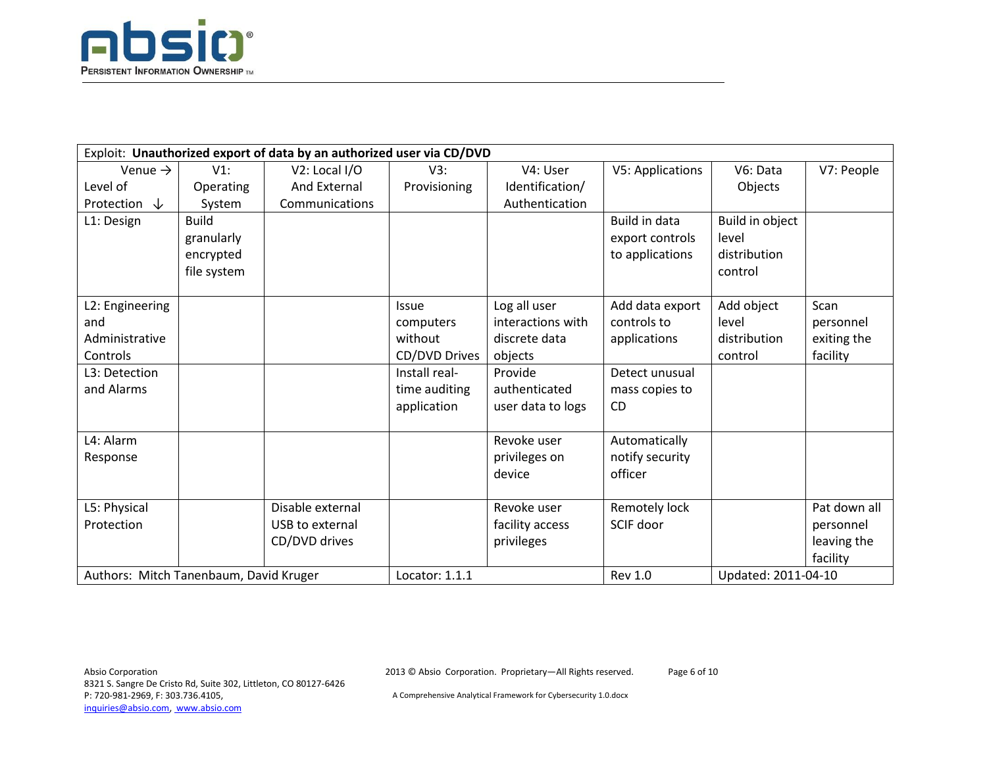

| Exploit: Unauthorized export of data by an authorized user via CD/DVD |              |                  |               |                   |                      |                 |              |
|-----------------------------------------------------------------------|--------------|------------------|---------------|-------------------|----------------------|-----------------|--------------|
| Venue $\rightarrow$                                                   | $V1$ :       | V2: Local I/O    | V3:           | V4: User          | V5: Applications     | V6: Data        | V7: People   |
| Level of                                                              | Operating    | And External     | Provisioning  | Identification/   |                      | Objects         |              |
| Protection $\downarrow$                                               | System       | Communications   |               | Authentication    |                      |                 |              |
| L1: Design                                                            | <b>Build</b> |                  |               |                   | <b>Build in data</b> | Build in object |              |
|                                                                       | granularly   |                  |               |                   | export controls      | level           |              |
|                                                                       | encrypted    |                  |               |                   | to applications      | distribution    |              |
|                                                                       | file system  |                  |               |                   |                      | control         |              |
|                                                                       |              |                  |               |                   |                      |                 |              |
| L2: Engineering                                                       |              |                  | <b>Issue</b>  | Log all user      | Add data export      | Add object      | Scan         |
| and                                                                   |              |                  | computers     | interactions with | controls to          | level           | personnel    |
| Administrative                                                        |              |                  | without       | discrete data     | applications         | distribution    | exiting the  |
| Controls                                                              |              |                  | CD/DVD Drives | objects           |                      | control         | facility     |
| L3: Detection                                                         |              |                  | Install real- | Provide           | Detect unusual       |                 |              |
| and Alarms                                                            |              |                  | time auditing | authenticated     | mass copies to       |                 |              |
|                                                                       |              |                  | application   | user data to logs | <b>CD</b>            |                 |              |
|                                                                       |              |                  |               |                   |                      |                 |              |
| L4: Alarm                                                             |              |                  |               | Revoke user       | Automatically        |                 |              |
| Response                                                              |              |                  |               | privileges on     | notify security      |                 |              |
|                                                                       |              |                  |               | device            | officer              |                 |              |
|                                                                       |              |                  |               |                   |                      |                 |              |
| L5: Physical                                                          |              | Disable external |               | Revoke user       | Remotely lock        |                 | Pat down all |
| Protection                                                            |              | USB to external  |               | facility access   | SCIF door            |                 | personnel    |
|                                                                       |              | CD/DVD drives    |               | privileges        |                      |                 | leaving the  |
|                                                                       |              |                  |               |                   |                      |                 | facility     |
| Authors: Mitch Tanenbaum, David Kruger                                |              | Locator: 1.1.1   |               | <b>Rev 1.0</b>    | Updated: 2011-04-10  |                 |              |

2013 © Absio Corporation. Proprietary—All Rights reserved.

Page 6 of 10

A Comprehensive Analytical Framework for Cybersecurity 1.0.docx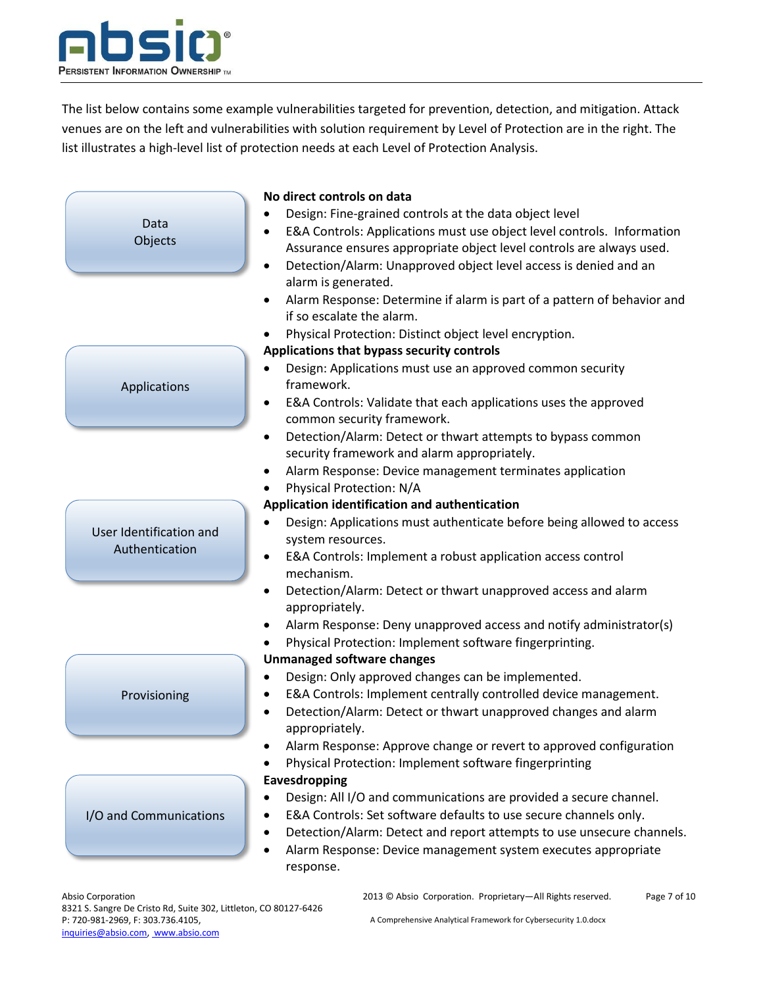

The list below contains some example vulnerabilities targeted for prevention, detection, and mitigation. Attack venues are on the left and vulnerabilities with solution requirement by Level of Protection are in the right. The list illustrates a high-level list of protection needs at each Level of Protection Analysis.

|                         | No direct controls on data                                                           |
|-------------------------|--------------------------------------------------------------------------------------|
|                         | Design: Fine-grained controls at the data object level                               |
| Data                    | E&A Controls: Applications must use object level controls. Information               |
| Objects                 | Assurance ensures appropriate object level controls are always used.                 |
|                         | Detection/Alarm: Unapproved object level access is denied and an<br>$\bullet$        |
|                         | alarm is generated.                                                                  |
|                         | Alarm Response: Determine if alarm is part of a pattern of behavior and<br>$\bullet$ |
|                         | if so escalate the alarm.                                                            |
|                         | Physical Protection: Distinct object level encryption.                               |
|                         | Applications that bypass security controls                                           |
|                         | Design: Applications must use an approved common security                            |
| Applications            | framework.                                                                           |
|                         | E&A Controls: Validate that each applications uses the approved                      |
|                         | common security framework.                                                           |
|                         | Detection/Alarm: Detect or thwart attempts to bypass common<br>$\bullet$             |
|                         | security framework and alarm appropriately.                                          |
|                         | Alarm Response: Device management terminates application<br>٠                        |
|                         | Physical Protection: N/A<br>٠                                                        |
|                         | Application identification and authentication                                        |
|                         | Design: Applications must authenticate before being allowed to access                |
| User Identification and | system resources.                                                                    |
| Authentication          | E&A Controls: Implement a robust application access control<br>$\bullet$             |
|                         | mechanism.                                                                           |
|                         | Detection/Alarm: Detect or thwart unapproved access and alarm<br>$\bullet$           |
|                         | appropriately.                                                                       |
|                         | Alarm Response: Deny unapproved access and notify administrator(s)<br>٠              |
|                         | Physical Protection: Implement software fingerprinting.                              |
|                         | <b>Unmanaged software changes</b>                                                    |
|                         | Design: Only approved changes can be implemented.                                    |
| Provisioning            | E&A Controls: Implement centrally controlled device management.                      |
|                         | Detection/Alarm: Detect or thwart unapproved changes and alarm                       |
|                         | appropriately.                                                                       |
|                         | Alarm Response: Approve change or revert to approved configuration                   |
|                         | Physical Protection: Implement software fingerprinting                               |
|                         | Eavesdropping                                                                        |
|                         | Design: All I/O and communications are provided a secure channel.<br>$\bullet$       |
| I/O and Communications  | E&A Controls: Set software defaults to use secure channels only.                     |
|                         | Detection/Alarm: Detect and report attempts to use unsecure channels.                |
|                         | Alarm Response: Device management system executes appropriate<br>٠                   |
|                         | response.                                                                            |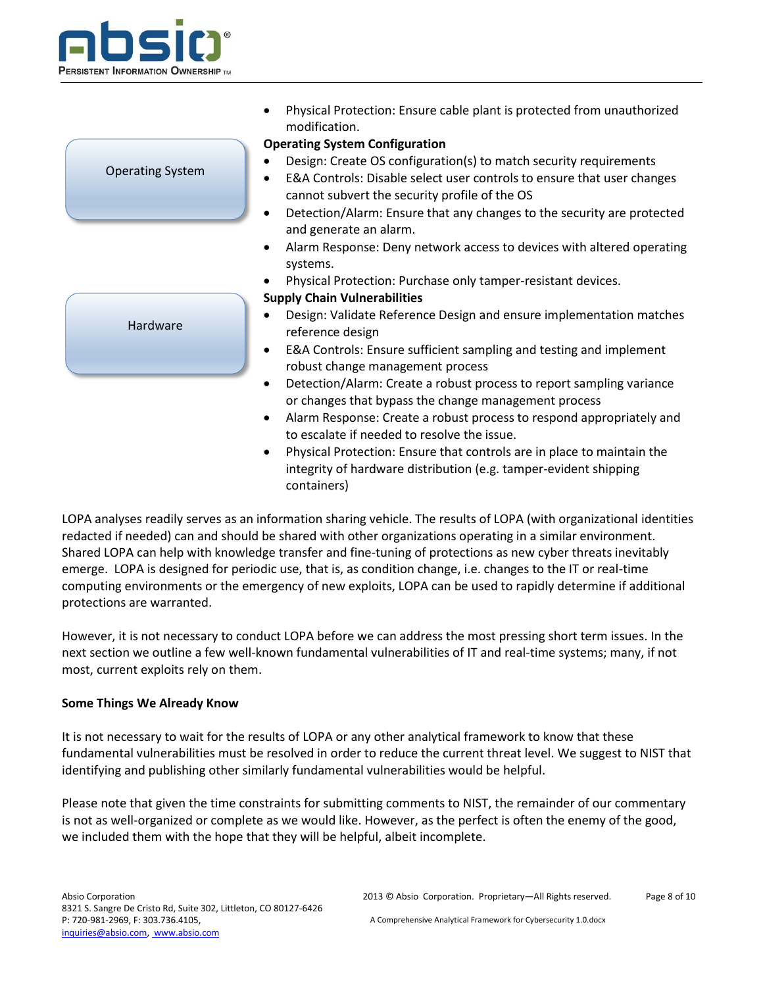

|                         | Physical Protection: Ensure cable plant is protected from unauthorized<br>modification.                                                                                                           |
|-------------------------|---------------------------------------------------------------------------------------------------------------------------------------------------------------------------------------------------|
|                         | <b>Operating System Configuration</b>                                                                                                                                                             |
| <b>Operating System</b> | Design: Create OS configuration(s) to match security requirements<br>E&A Controls: Disable select user controls to ensure that user changes<br>٠<br>cannot subvert the security profile of the OS |
|                         | Detection/Alarm: Ensure that any changes to the security are protected<br>٠<br>and generate an alarm.                                                                                             |
|                         | Alarm Response: Deny network access to devices with altered operating<br>$\bullet$<br>systems.                                                                                                    |
|                         | Physical Protection: Purchase only tamper-resistant devices.                                                                                                                                      |
|                         | <b>Supply Chain Vulnerabilities</b>                                                                                                                                                               |
| Hardware                | Design: Validate Reference Design and ensure implementation matches<br>reference design                                                                                                           |
|                         | E&A Controls: Ensure sufficient sampling and testing and implement<br>robust change management process                                                                                            |
|                         | Detection/Alarm: Create a robust process to report sampling variance<br>٠<br>or changes that bypass the change management process                                                                 |
|                         | Alarm Response: Create a robust process to respond appropriately and<br>$\bullet$<br>to escalate if needed to resolve the issue.                                                                  |

 Physical Protection: Ensure that controls are in place to maintain the integrity of hardware distribution (e.g. tamper-evident shipping containers)

LOPA analyses readily serves as an information sharing vehicle. The results of LOPA (with organizational identities redacted if needed) can and should be shared with other organizations operating in a similar environment. Shared LOPA can help with knowledge transfer and fine-tuning of protections as new cyber threats inevitably emerge. LOPA is designed for periodic use, that is, as condition change, i.e. changes to the IT or real-time computing environments or the emergency of new exploits, LOPA can be used to rapidly determine if additional protections are warranted.

However, it is not necessary to conduct LOPA before we can address the most pressing short term issues. In the next section we outline a few well-known fundamental vulnerabilities of IT and real-time systems; many, if not most, current exploits rely on them.

## **Some Things We Already Know**

It is not necessary to wait for the results of LOPA or any other analytical framework to know that these fundamental vulnerabilities must be resolved in order to reduce the current threat level. We suggest to NIST that identifying and publishing other similarly fundamental vulnerabilities would be helpful.

Please note that given the time constraints for submitting comments to NIST, the remainder of our commentary is not as well-organized or complete as we would like. However, as the perfect is often the enemy of the good, we included them with the hope that they will be helpful, albeit incomplete.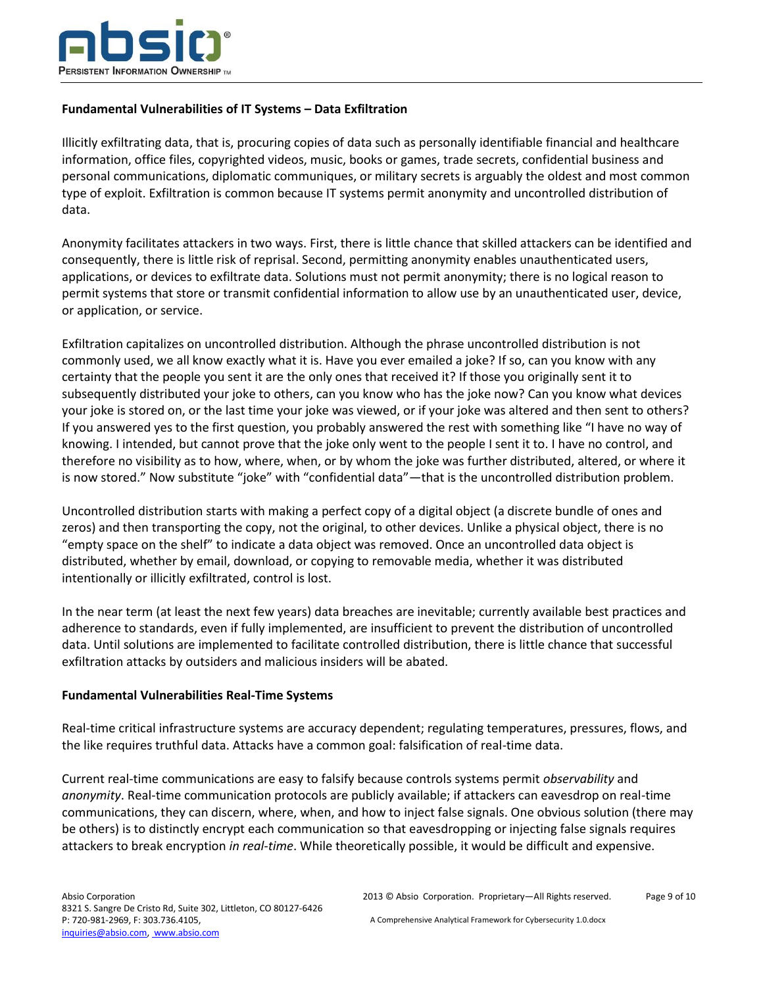

### **Fundamental Vulnerabilities of IT Systems – Data Exfiltration**

Illicitly exfiltrating data, that is, procuring copies of data such as personally identifiable financial and healthcare information, office files, copyrighted videos, music, books or games, trade secrets, confidential business and personal communications, diplomatic communiques, or military secrets is arguably the oldest and most common type of exploit. Exfiltration is common because IT systems permit anonymity and uncontrolled distribution of data.

Anonymity facilitates attackers in two ways. First, there is little chance that skilled attackers can be identified and consequently, there is little risk of reprisal. Second, permitting anonymity enables unauthenticated users, applications, or devices to exfiltrate data. Solutions must not permit anonymity; there is no logical reason to permit systems that store or transmit confidential information to allow use by an unauthenticated user, device, or application, or service.

Exfiltration capitalizes on uncontrolled distribution. Although the phrase uncontrolled distribution is not commonly used, we all know exactly what it is. Have you ever emailed a joke? If so, can you know with any certainty that the people you sent it are the only ones that received it? If those you originally sent it to subsequently distributed your joke to others, can you know who has the joke now? Can you know what devices your joke is stored on, or the last time your joke was viewed, or if your joke was altered and then sent to others? If you answered yes to the first question, you probably answered the rest with something like "I have no way of knowing. I intended, but cannot prove that the joke only went to the people I sent it to. I have no control, and therefore no visibility as to how, where, when, or by whom the joke was further distributed, altered, or where it is now stored." Now substitute "joke" with "confidential data"—that is the uncontrolled distribution problem.

Uncontrolled distribution starts with making a perfect copy of a digital object (a discrete bundle of ones and zeros) and then transporting the copy, not the original, to other devices. Unlike a physical object, there is no "empty space on the shelf" to indicate a data object was removed. Once an uncontrolled data object is distributed, whether by email, download, or copying to removable media, whether it was distributed intentionally or illicitly exfiltrated, control is lost.

In the near term (at least the next few years) data breaches are inevitable; currently available best practices and adherence to standards, even if fully implemented, are insufficient to prevent the distribution of uncontrolled data. Until solutions are implemented to facilitate controlled distribution, there is little chance that successful exfiltration attacks by outsiders and malicious insiders will be abated.

#### **Fundamental Vulnerabilities Real-Time Systems**

Real-time critical infrastructure systems are accuracy dependent; regulating temperatures, pressures, flows, and the like requires truthful data. Attacks have a common goal: falsification of real-time data.

Current real-time communications are easy to falsify because controls systems permit *observability* and *anonymity*. Real-time communication protocols are publicly available; if attackers can eavesdrop on real-time communications, they can discern, where, when, and how to inject false signals. One obvious solution (there may be others) is to distinctly encrypt each communication so that eavesdropping or injecting false signals requires attackers to break encryption *in real-time*. While theoretically possible, it would be difficult and expensive.